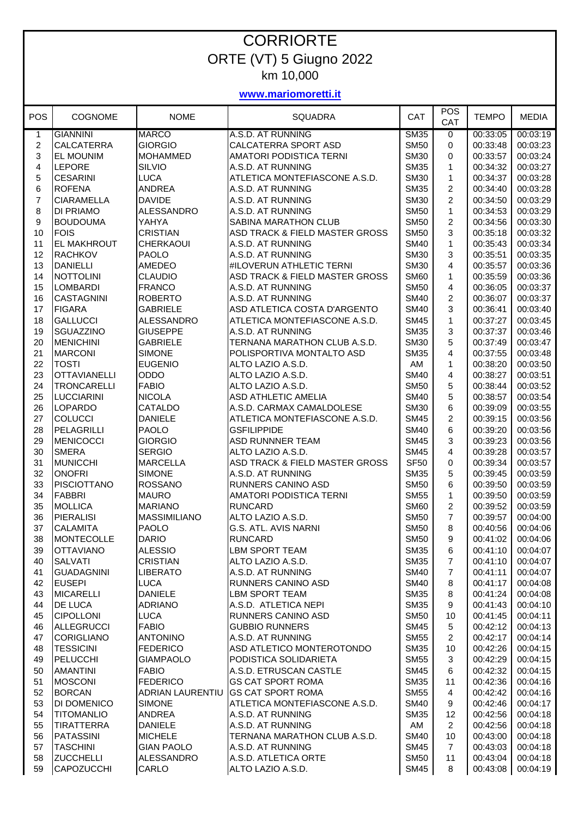## **CORRIORTE** ORTE (VT) 5 Giugno 2022 km 10,000

## **www.mariomoretti.it**

| <b>POS</b>     | <b>COGNOME</b>      | <b>NOME</b>                  | <b>SQUADRA</b>                 | CAT         | <b>POS</b><br>CAT | <b>TEMPO</b> | <b>MEDIA</b> |
|----------------|---------------------|------------------------------|--------------------------------|-------------|-------------------|--------------|--------------|
| 1              | <b>GIANNINI</b>     | <b>MARCO</b>                 | A.S.D. AT RUNNING              | <b>SM35</b> | $\mathbf 0$       | 00:33:05     | 00:03:19     |
| $\overline{c}$ | <b>CALCATERRA</b>   | <b>GIORGIO</b>               | CALCATERRA SPORT ASD           | <b>SM50</b> | 0                 | 00:33:48     | 00:03:23     |
| 3              | <b>EL MOUNIM</b>    | <b>MOHAMMED</b>              | AMATORI PODISTICA TERNI        | <b>SM30</b> | 0                 | 00:33:57     | 00:03:24     |
| 4              | LEPORE              | <b>SILVIO</b>                | A.S.D. AT RUNNING              | <b>SM35</b> | 1                 | 00:34:32     | 00:03:27     |
| 5              | <b>CESARINI</b>     | <b>LUCA</b>                  | ATLETICA MONTEFIASCONE A.S.D.  | <b>SM30</b> | 1                 | 00:34:37     | 00:03:28     |
| 6              | <b>ROFENA</b>       | <b>ANDREA</b>                | A.S.D. AT RUNNING              | <b>SM35</b> | $\overline{c}$    | 00:34:40     | 00:03:28     |
| $\overline{7}$ | <b>CIARAMELLA</b>   | <b>DAVIDE</b>                | A.S.D. AT RUNNING              | <b>SM30</b> | $\overline{c}$    | 00:34:50     | 00:03:29     |
| 8              | <b>DI PRIAMO</b>    | <b>ALESSANDRO</b>            | A.S.D. AT RUNNING              | <b>SM50</b> | $\mathbf{1}$      | 00:34:53     | 00:03:29     |
| 9              | <b>BOUDOUMA</b>     | YAHYA                        | SABINA MARATHON CLUB           | <b>SM50</b> | $\overline{c}$    | 00:34:56     | 00:03:30     |
| 10             | <b>FOIS</b>         | <b>CRISTIAN</b>              | ASD TRACK & FIELD MASTER GROSS | <b>SM50</b> | 3                 | 00:35:18     | 00:03:32     |
| 11             | <b>EL MAKHROUT</b>  | <b>CHERKAOUI</b>             | A.S.D. AT RUNNING              | <b>SM40</b> | $\mathbf{1}$      | 00:35:43     | 00:03:34     |
| 12             | <b>RACHKOV</b>      | <b>PAOLO</b>                 | A.S.D. AT RUNNING              | <b>SM30</b> | 3                 | 00:35:51     | 00:03:35     |
| 13             | <b>DANIELLI</b>     | AMEDEO                       | #ILOVERUN ATHLETIC TERNI       | <b>SM30</b> | 4                 | 00:35:57     | 00:03:36     |
| 14             | <b>NOTTOLINI</b>    | <b>CLAUDIO</b>               | ASD TRACK & FIELD MASTER GROSS | <b>SM60</b> | 1                 | 00:35:59     | 00:03:36     |
|                |                     |                              |                                |             |                   |              |              |
| 15             | <b>LOMBARDI</b>     | <b>FRANCO</b>                | A.S.D. AT RUNNING              | <b>SM50</b> | 4                 | 00:36:05     | 00:03:37     |
| 16             | <b>CASTAGNINI</b>   | <b>ROBERTO</b>               | A.S.D. AT RUNNING              | <b>SM40</b> | $\overline{2}$    | 00:36:07     | 00:03:37     |
| 17             | <b>FIGARA</b>       | <b>GABRIELE</b>              | ASD ATLETICA COSTA D'ARGENTO   | <b>SM40</b> | 3                 | 00:36:41     | 00:03:40     |
| 18             | <b>GALLUCCI</b>     | <b>ALESSANDRO</b>            | ATLETICA MONTEFIASCONE A.S.D.  | <b>SM45</b> | 1                 | 00:37:27     | 00:03:45     |
| 19             | SGUAZZINO           | <b>GIUSEPPE</b>              | A.S.D. AT RUNNING              | <b>SM35</b> | 3                 | 00:37:37     | 00:03:46     |
| 20             | <b>MENICHINI</b>    | <b>GABRIELE</b>              | TERNANA MARATHON CLUB A.S.D.   | <b>SM30</b> | 5                 | 00:37:49     | 00:03:47     |
| 21             | <b>MARCONI</b>      | <b>SIMONE</b>                | POLISPORTIVA MONTALTO ASD      | <b>SM35</b> | 4                 | 00:37:55     | 00:03:48     |
| 22             | <b>TOSTI</b>        | <b>EUGENIO</b>               | ALTO LAZIO A.S.D.              | AM          | 1                 | 00:38:20     | 00:03:50     |
| 23             | <b>OTTAVIANELLI</b> | ODDO                         | ALTO LAZIO A.S.D.              | <b>SM40</b> | 4                 | 00:38:27     | 00:03:51     |
| 24             | <b>TRONCARELLI</b>  | <b>FABIO</b>                 | ALTO LAZIO A.S.D.              | <b>SM50</b> | 5                 | 00:38:44     | 00:03:52     |
| 25             | <b>LUCCIARINI</b>   | <b>NICOLA</b>                | ASD ATHLETIC AMELIA            | <b>SM40</b> | 5                 | 00:38:57     | 00:03:54     |
| 26             | <b>LOPARDO</b>      | <b>CATALDO</b>               | A.S.D. CARMAX CAMALDOLESE      | <b>SM30</b> | 6                 | 00:39:09     | 00:03:55     |
| 27             | <b>COLUCCI</b>      | <b>DANIELE</b>               | ATLETICA MONTEFIASCONE A.S.D.  | <b>SM45</b> | $\overline{c}$    | 00:39:15     | 00:03:56     |
| 28             | PELAGRILLI          | <b>PAOLO</b>                 | <b>GSFILIPPIDE</b>             | <b>SM40</b> | 6                 | 00:39:20     | 00:03:56     |
| 29             | <b>MENICOCCI</b>    | <b>GIORGIO</b>               | <b>ASD RUNNNER TEAM</b>        | <b>SM45</b> | 3                 | 00:39:23     | 00:03:56     |
| 30             | <b>SMERA</b>        | <b>SERGIO</b>                | ALTO LAZIO A.S.D.              | <b>SM45</b> | 4                 | 00:39:28     | 00:03:57     |
| 31             | <b>MUNICCHI</b>     | <b>MARCELLA</b>              | ASD TRACK & FIELD MASTER GROSS | <b>SF50</b> | 0                 | 00:39:34     | 00:03:57     |
| 32             | <b>ONOFRI</b>       | <b>SIMONE</b>                | A.S.D. AT RUNNING              | <b>SM35</b> | 5                 | 00:39:45     | 00:03:59     |
| 33             | PISCIOTTANO         | <b>ROSSANO</b>               | RUNNERS CANINO ASD             | <b>SM50</b> | 6                 | 00:39:50     | 00:03:59     |
| 34             | <b>FABBRI</b>       | <b>MAURO</b>                 | AMATORI PODISTICA TERNI        | <b>SM55</b> | 1                 | 00:39:50     | 00:03:59     |
| 35             | <b>MOLLICA</b>      | <b>MARIANO</b>               | <b>RUNCARD</b>                 | <b>SM60</b> | $\overline{c}$    | 00:39:52     | 00:03:59     |
| 36             | <b>PIERALISI</b>    | <b>MASSIMILIANO</b>          | ALTO LAZIO A.S.D.              | <b>SM50</b> | 7                 | 00:39:57     | 00:04:00     |
| 37             |                     |                              | G.S. ATL. AVIS NARNI           |             | 8                 | 00:40:56     |              |
|                | <b>CALAMITA</b>     | <b>PAOLO</b><br><b>DARIO</b> | <b>RUNCARD</b>                 | <b>SM50</b> |                   | 00:41:02     | 00:04:06     |
| 38             | <b>MONTECOLLE</b>   |                              |                                | <b>SM50</b> | 9                 |              | 00:04:06     |
| 39             | <b>OTTAVIANO</b>    | <b>ALESSIO</b>               | <b>LBM SPORT TEAM</b>          | <b>SM35</b> | 6                 | 00:41:10     | 00:04:07     |
| 40             | <b>SALVATI</b>      | <b>CRISTIAN</b>              | ALTO LAZIO A.S.D.              | <b>SM35</b> | 7                 | 00:41:10     | 00:04:07     |
| 41             | <b>GUADAGNINI</b>   | <b>LIBERATO</b>              | A.S.D. AT RUNNING              | <b>SM40</b> | $\overline{7}$    | 00:41:11     | 00:04:07     |
| 42             | <b>EUSEPI</b>       | <b>LUCA</b>                  | RUNNERS CANINO ASD             | <b>SM40</b> | 8                 | 00:41:17     | 00:04:08     |
| 43             | <b>MICARELLI</b>    | <b>DANIELE</b>               | <b>LBM SPORT TEAM</b>          | <b>SM35</b> | 8                 | 00:41:24     | 00:04:08     |
| 44             | <b>DE LUCA</b>      | <b>ADRIANO</b>               | A.S.D. ATLETICA NEPI           | <b>SM35</b> | 9                 | 00:41:43     | 00:04:10     |
| 45             | <b>CIPOLLONI</b>    | <b>LUCA</b>                  | RUNNERS CANINO ASD             | <b>SM50</b> | 10                | 00:41:45     | 00:04:11     |
| 46             | <b>ALLEGRUCCI</b>   | <b>FABIO</b>                 | <b>GUBBIO RUNNERS</b>          | <b>SM45</b> | 5                 | 00:42:12     | 00:04:13     |
| 47             | <b>CORIGLIANO</b>   | <b>ANTONINO</b>              | A.S.D. AT RUNNING              | <b>SM55</b> | $\overline{2}$    | 00:42:17     | 00:04:14     |
| 48             | <b>TESSICINI</b>    | <b>FEDERICO</b>              | ASD ATLETICO MONTEROTONDO      | <b>SM35</b> | 10                | 00:42:26     | 00:04:15     |
| 49             | <b>PELUCCHI</b>     | <b>GIAMPAOLO</b>             | PODISTICA SOLIDARIETA          | <b>SM55</b> | 3                 | 00:42:29     | 00:04:15     |
| 50             | <b>AMANTINI</b>     | <b>FABIO</b>                 | A.S.D. ETRUSCAN CASTLE         | <b>SM45</b> | 6                 | 00:42:32     | 00:04:15     |
| 51             | <b>MOSCONI</b>      | <b>FEDERICO</b>              | <b>GS CAT SPORT ROMA</b>       | <b>SM35</b> | 11                | 00:42:36     | 00:04:16     |
| 52             | <b>BORCAN</b>       | <b>ADRIAN LAURENTIU</b>      | <b>GS CAT SPORT ROMA</b>       | <b>SM55</b> | 4                 | 00:42:42     | 00:04:16     |
| 53             | <b>DI DOMENICO</b>  | <b>SIMONE</b>                | ATLETICA MONTEFIASCONE A.S.D.  | <b>SM40</b> | 9                 | 00:42:46     | 00:04:17     |
| 54             | <b>TITOMANLIO</b>   | ANDREA                       | A.S.D. AT RUNNING              | <b>SM35</b> | 12                | 00:42:56     | 00:04:18     |
| 55             | <b>TIRATTERRA</b>   | <b>DANIELE</b>               | A.S.D. AT RUNNING              | AM          | $\overline{c}$    | 00:42:56     | 00:04:18     |
| 56             | <b>PATASSINI</b>    | <b>MICHELE</b>               | TERNANA MARATHON CLUB A.S.D.   | <b>SM40</b> | 10                | 00:43:00     | 00:04:18     |
| 57             | <b>TASCHINI</b>     | <b>GIAN PAOLO</b>            | A.S.D. AT RUNNING              | <b>SM45</b> | $\overline{7}$    | 00:43:03     | 00:04:18     |
| 58             | <b>ZUCCHELLI</b>    | <b>ALESSANDRO</b>            | A.S.D. ATLETICA ORTE           | <b>SM50</b> | 11                | 00:43:04     | 00:04:18     |
|                |                     |                              |                                |             | $\bf 8$           |              |              |
| 59             | <b>CAPOZUCCHI</b>   | CARLO                        | ALTO LAZIO A.S.D.              | <b>SM45</b> |                   | 00:43:08     | 00:04:19     |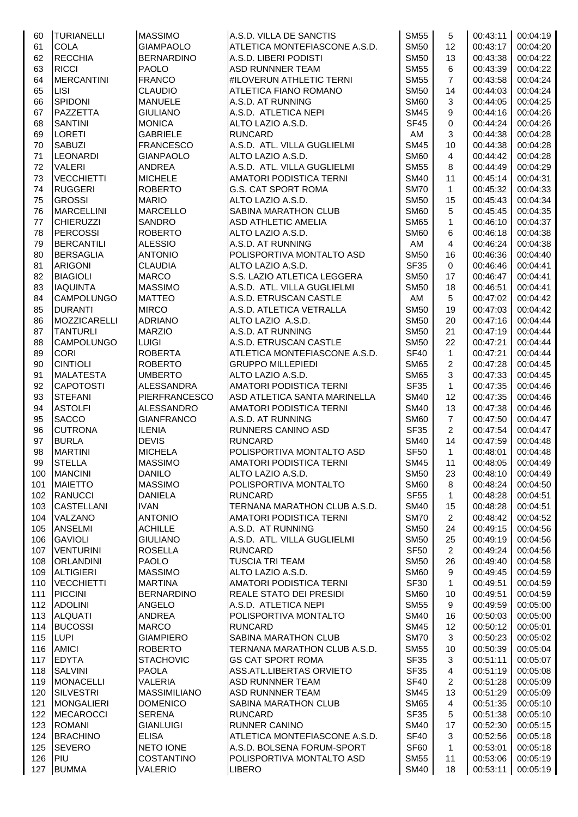| 60  | <b>TURIANELLI</b>   | <b>MASSIMO</b>      | A.S.D. VILLA DE SANCTIS        | <b>SM55</b>      | 5              | 00:43:11 | 00:04:19 |
|-----|---------------------|---------------------|--------------------------------|------------------|----------------|----------|----------|
| 61  | <b>COLA</b>         | <b>GIAMPAOLO</b>    | ATLETICA MONTEFIASCONE A.S.D.  | <b>SM50</b>      | 12             | 00:43:17 | 00:04:20 |
| 62  | <b>RECCHIA</b>      | <b>BERNARDINO</b>   | A.S.D. LIBERI PODISTI          | <b>SM50</b>      | 13             | 00:43:38 | 00:04:22 |
| 63  | <b>RICCI</b>        | <b>PAOLO</b>        | <b>ASD RUNNNER TEAM</b>        | <b>SM55</b>      | 6              | 00:43:39 | 00:04:22 |
| 64  | <b>MERCANTINI</b>   | <b>FRANCO</b>       | #ILOVERUN ATHLETIC TERNI       | <b>SM55</b>      | $\overline{7}$ | 00:43:58 | 00:04:24 |
| 65  | LISI                | <b>CLAUDIO</b>      | ATLETICA FIANO ROMANO          | <b>SM50</b>      | 14             | 00:44:03 | 00:04:24 |
| 66  | SPIDONI             | <b>MANUELE</b>      | A.S.D. AT RUNNING              | <b>SM60</b>      | 3              | 00:44:05 | 00:04:25 |
| 67  | PAZZETTA            | <b>GIULIANO</b>     | A.S.D. ATLETICA NEPI           | <b>SM45</b>      | 9              | 00:44:16 | 00:04:26 |
| 68  | <b>SANTINI</b>      | <b>MONICA</b>       | ALTO LAZIO A.S.D.              | <b>SF45</b>      | 0              | 00:44:24 | 00:04:26 |
| 69  | <b>LORETI</b>       | <b>GABRIELE</b>     | <b>RUNCARD</b>                 | AM               | 3              | 00:44:38 | 00:04:28 |
| 70  | <b>SABUZI</b>       | <b>FRANCESCO</b>    | A.S.D. ATL. VILLA GUGLIELMI    | <b>SM45</b>      | 10             | 00:44:38 | 00:04:28 |
| 71  | <b>LEONARDI</b>     | <b>GIANPAOLO</b>    | ALTO LAZIO A.S.D.              | <b>SM60</b>      | 4              | 00:44:42 | 00:04:28 |
| 72  | <b>VALERI</b>       | <b>ANDREA</b>       | A.S.D. ATL. VILLA GUGLIELMI    | <b>SM55</b>      | 8              | 00:44:49 | 00:04:29 |
| 73  | <b>VECCHIETTI</b>   | <b>MICHELE</b>      | AMATORI PODISTICA TERNI        | <b>SM40</b>      | 11             | 00:45:14 | 00:04:31 |
| 74  | <b>RUGGERI</b>      | <b>ROBERTO</b>      | G.S. CAT SPORT ROMA            | <b>SM70</b>      | $\mathbf{1}$   | 00:45:32 | 00:04:33 |
| 75  | <b>GROSSI</b>       | <b>MARIO</b>        | ALTO LAZIO A.S.D.              | <b>SM50</b>      | 15             | 00:45:43 | 00:04:34 |
| 76  | <b>MARCELLINI</b>   | <b>MARCELLO</b>     | SABINA MARATHON CLUB           | <b>SM60</b>      | 5              | 00:45:45 | 00:04:35 |
| 77  | <b>CHIERUZZI</b>    | <b>SANDRO</b>       | <b>ASD ATHLETIC AMELIA</b>     | <b>SM65</b>      | $\mathbf{1}$   | 00:46:10 | 00:04:37 |
| 78  | <b>PERCOSSI</b>     | <b>ROBERTO</b>      | ALTO LAZIO A.S.D.              | <b>SM60</b>      | 6              | 00:46:18 | 00:04:38 |
| 79  | <b>BERCANTILI</b>   | <b>ALESSIO</b>      | A.S.D. AT RUNNING              | AM               | 4              | 00:46:24 | 00:04:38 |
| 80  | <b>BERSAGLIA</b>    | <b>ANTONIO</b>      | POLISPORTIVA MONTALTO ASD      | <b>SM50</b>      | 16             | 00:46:36 | 00:04:40 |
| 81  | <b>ARIGONI</b>      | <b>CLAUDIA</b>      | ALTO LAZIO A.S.D.              | <b>SF35</b>      | 0              | 00:46:46 | 00:04:41 |
| 82  | <b>BIAGIOLI</b>     | <b>MARCO</b>        | S.S. LAZIO ATLETICA LEGGERA    | <b>SM50</b>      | 17             | 00:46:47 | 00:04:41 |
| 83  | <b>IAQUINTA</b>     | <b>MASSIMO</b>      | A.S.D. ATL. VILLA GUGLIELMI    | <b>SM50</b>      | 18             | 00:46:51 | 00:04:41 |
| 84  | <b>CAMPOLUNGO</b>   | <b>MATTEO</b>       | A.S.D. ETRUSCAN CASTLE         | AM               | 5              | 00:47:02 | 00:04:42 |
| 85  | <b>DURANTI</b>      | <b>MIRCO</b>        | A.S.D. ATLETICA VETRALLA       | <b>SM50</b>      | 19             | 00:47:03 | 00:04:42 |
| 86  | <b>MOZZICARELLI</b> | <b>ADRIANO</b>      | ALTO LAZIO A.S.D.              | <b>SM50</b>      | 20             | 00:47:16 | 00:04:44 |
| 87  | <b>TANTURLI</b>     | <b>MARZIO</b>       | A.S.D. AT RUNNING              | <b>SM50</b>      | 21             | 00:47:19 | 00:04:44 |
| 88  | <b>CAMPOLUNGO</b>   | <b>LUIGI</b>        | A.S.D. ETRUSCAN CASTLE         | <b>SM50</b>      | 22             | 00:47:21 | 00:04:44 |
| 89  | <b>CORI</b>         | <b>ROBERTA</b>      | ATLETICA MONTEFIASCONE A.S.D.  | <b>SF40</b>      | 1              | 00:47:21 | 00:04:44 |
| 90  | <b>CINTIOLI</b>     | <b>ROBERTO</b>      | <b>GRUPPO MILLEPIEDI</b>       | <b>SM65</b>      | 2              | 00:47:28 | 00:04:45 |
| 91  | <b>MALATESTA</b>    | <b>UMBERTO</b>      | ALTO LAZIO A.S.D.              | <b>SM65</b>      | 3              | 00:47:33 | 00:04:45 |
| 92  | <b>CAPOTOSTI</b>    | <b>ALESSANDRA</b>   | <b>AMATORI PODISTICA TERNI</b> | <b>SF35</b>      | $\mathbf{1}$   | 00:47:35 | 00:04:46 |
| 93  | <b>STEFANI</b>      | PIERFRANCESCO       | ASD ATLETICA SANTA MARINELLA   | <b>SM40</b>      | 12             | 00:47:35 | 00:04:46 |
| 94  | <b>ASTOLFI</b>      | <b>ALESSANDRO</b>   | <b>AMATORI PODISTICA TERNI</b> | <b>SM40</b>      | 13             | 00:47:38 | 00:04:46 |
| 95  | <b>SACCO</b>        | <b>GIANFRANCO</b>   | A.S.D. AT RUNNING              | <b>SM60</b>      | $\overline{7}$ | 00:47:50 | 00:04:47 |
| 96  | <b>CUTRONA</b>      | <b>ILENIA</b>       | <b>RUNNERS CANINO ASD</b>      | <b>SF35</b>      | $\overline{2}$ | 00:47:54 | 00:04:47 |
| 97  | <b>BURLA</b>        | <b>DEVIS</b>        | <b>RUNCARD</b>                 | <b>SM40</b>      | 14             | 00:47:59 | 00:04:48 |
| 98  | <b>MARTINI</b>      | <b>MICHELA</b>      | POLISPORTIVA MONTALTO ASD      | <b>SF50</b>      | $\mathbf{1}$   | 00:48:01 | 00:04:48 |
| 99  | <b>STELLA</b>       | <b>MASSIMO</b>      | AMATORI PODISTICA TERNI        | <b>SM45</b>      | 11             | 00:48:05 | 00:04:49 |
| 100 | <b>MANCINI</b>      | <b>DANILO</b>       | ALTO LAZIO A.S.D.              | <b>SM50</b>      | 23             | 00:48:10 | 00:04:49 |
| 101 | <b>MAIETTO</b>      | <b>MASSIMO</b>      | POLISPORTIVA MONTALTO          | <b>SM60</b>      | 8              | 00:48:24 | 00:04:50 |
| 102 | <b>RANUCCI</b>      | <b>DANIELA</b>      | <b>RUNCARD</b>                 | SF <sub>55</sub> | 1              | 00:48:28 | 00:04:51 |
| 103 | <b>CASTELLANI</b>   | <b>IVAN</b>         | TERNANA MARATHON CLUB A.S.D.   | <b>SM40</b>      | 15             | 00:48:28 | 00:04:51 |
| 104 | VALZANO             | <b>ANTONIO</b>      | <b>AMATORI PODISTICA TERNI</b> | <b>SM70</b>      | $\overline{2}$ | 00:48:42 | 00:04:52 |
| 105 | <b>ANSELMI</b>      | <b>ACHILLE</b>      | A.S.D. AT RUNNING              | <b>SM50</b>      | 24             | 00:49:15 | 00:04:56 |
| 106 | <b>GAVIOLI</b>      | <b>GIULIANO</b>     | A.S.D. ATL. VILLA GUGLIELMI    | <b>SM50</b>      | 25             | 00:49:19 | 00:04:56 |
| 107 | <b>VENTURINI</b>    | <b>ROSELLA</b>      | <b>RUNCARD</b>                 | <b>SF50</b>      | 2              | 00:49:24 | 00:04:56 |
| 108 | <b>ORLANDINI</b>    | <b>PAOLO</b>        | <b>TUSCIA TRI TEAM</b>         | <b>SM50</b>      | 26             | 00:49:40 | 00:04:58 |
| 109 | <b>ALTIGIERI</b>    | <b>MASSIMO</b>      | ALTO LAZIO A.S.D.              | <b>SM60</b>      | 9              | 00:49:45 | 00:04:59 |
| 110 | <b>VECCHIETTI</b>   | <b>MARTINA</b>      | <b>AMATORI PODISTICA TERNI</b> | <b>SF30</b>      | 1              | 00:49:51 | 00:04:59 |
| 111 | <b>PICCINI</b>      | <b>BERNARDINO</b>   | REALE STATO DEI PRESIDI        | <b>SM60</b>      | 10             | 00:49:51 | 00:04:59 |
|     |                     |                     |                                |                  |                |          |          |
| 112 | <b>ADOLINI</b>      | <b>ANGELO</b>       | A.S.D. ATLETICA NEPI           | <b>SM55</b>      | 9              | 00:49:59 | 00:05:00 |
| 113 | <b>ALQUATI</b>      | <b>ANDREA</b>       | POLISPORTIVA MONTALTO          | <b>SM40</b>      | 16             | 00:50:03 | 00:05:00 |
| 114 | <b>BUCOSSI</b>      | <b>MARCO</b>        | <b>RUNCARD</b>                 | <b>SM45</b>      | 12             | 00:50:12 | 00:05:01 |
| 115 | <b>LUPI</b>         | <b>GIAMPIERO</b>    | SABINA MARATHON CLUB           | <b>SM70</b>      | 3              | 00:50:23 | 00:05:02 |
| 116 | <b>AMICI</b>        | <b>ROBERTO</b>      | TERNANA MARATHON CLUB A.S.D.   | <b>SM55</b>      | 10             | 00:50:39 | 00:05:04 |
| 117 | <b>EDYTA</b>        | <b>STACHOVIC</b>    | <b>GS CAT SPORT ROMA</b>       | <b>SF35</b>      | 3              | 00:51:11 | 00:05:07 |
| 118 | <b>SALVINI</b>      | <b>PAOLA</b>        | ASS.ATL.LIBERTAS ORVIETO       | <b>SF35</b>      | 4              | 00:51:19 | 00:05:08 |
| 119 | <b>MONACELLI</b>    | VALERIA             | <b>ASD RUNNNER TEAM</b>        | SF40             | $\overline{c}$ | 00:51:28 | 00:05:09 |
| 120 | <b>SILVESTRI</b>    | <b>MASSIMILIANO</b> | <b>ASD RUNNNER TEAM</b>        | <b>SM45</b>      | 13             | 00:51:29 | 00:05:09 |
| 121 | <b>MONGALIERI</b>   | <b>DOMENICO</b>     | SABINA MARATHON CLUB           | <b>SM65</b>      | $\overline{4}$ | 00:51:35 | 00:05:10 |
| 122 | <b>MECAROCCI</b>    | <b>SERENA</b>       | <b>RUNCARD</b>                 | SF <sub>35</sub> | 5              | 00:51:38 | 00:05:10 |
| 123 | <b>ROMANI</b>       | <b>GIANLUIGI</b>    | <b>RUNNER CANINO</b>           | <b>SM40</b>      | 17             | 00:52:30 | 00:05:15 |
| 124 | <b>BRACHINO</b>     | <b>ELISA</b>        | ATLETICA MONTEFIASCONE A.S.D.  | <b>SF40</b>      | 3              | 00:52:56 | 00:05:18 |
| 125 | <b>SEVERO</b>       | <b>NETO IONE</b>    | A.S.D. BOLSENA FORUM-SPORT     | SF60             | 1              | 00:53:01 | 00:05:18 |
| 126 | PIU                 | <b>COSTANTINO</b>   | POLISPORTIVA MONTALTO ASD      | <b>SM55</b>      | 11             | 00:53:06 | 00:05:19 |
| 127 | <b>BUMMA</b>        | <b>VALERIO</b>      | <b>LIBERO</b>                  | <b>SM40</b>      | 18             | 00:53:11 | 00:05:19 |